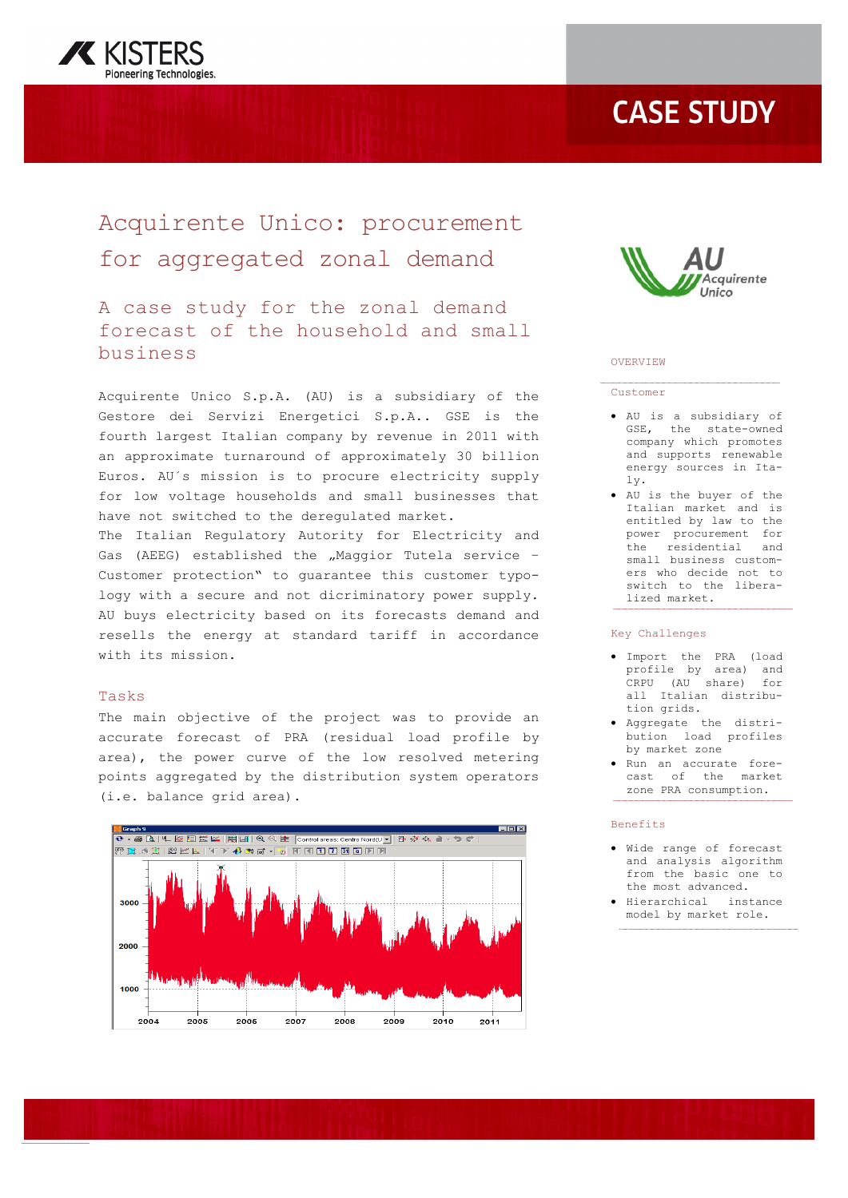

# **CASE STUDY**

# Acquirente Unico: procurement for aggregated zonal demand

# A case study for the zonal demand forecast of the household and small business

Acquirente Unico S.p.A. (AU) is a subsidiary of the Gestore dei Servizi Energetici S.p.A.. GSE is the fourth largest Italian company by revenue in 2011 with an approximate turnaround of approximately 30 billion Euros. AU´s mission is to procure electricity supply for low voltage households and small businesses that have not switched to the deregulated market.

The Italian Regulatory Autority for Electricity and Gas (AEEG) established the "Maggior Tutela service  $-$ Customer protection" to guarantee this customer typology with a secure and not dicriminatory power supply. AU buys electricity based on its forecasts demand and resells the energy at standard tariff in accordance with its mission.

# Tasks

The main objective of the project was to provide an accurate forecast of PRA (residual load profile by area), the power curve of the low resolved metering points aggregated by the distribution system operators (i.e. balance grid area).





#### OVERVIEW

#### Customer

- AU is a subsidiary of GSE, the state-owned company which promotes and supports renewable energy sources in Italy.
- AU is the buyer of the Italian market and is entitled by law to the power procurement for the residential and small business customers who decide not to switch to the liberalized market.

#### Key Challenges

- Import the PRA (load profile by area) and CRPU (AU share) for all Italian distribution grids.
- Aggregate the distribution load profiles by market zone
- Run an accurate forecast of the market zone PRA consumption.

## Benefits

- Wide range of forecast and analysis algorithm from the basic one to the most advanced.
- Hierarchical instance model by market role.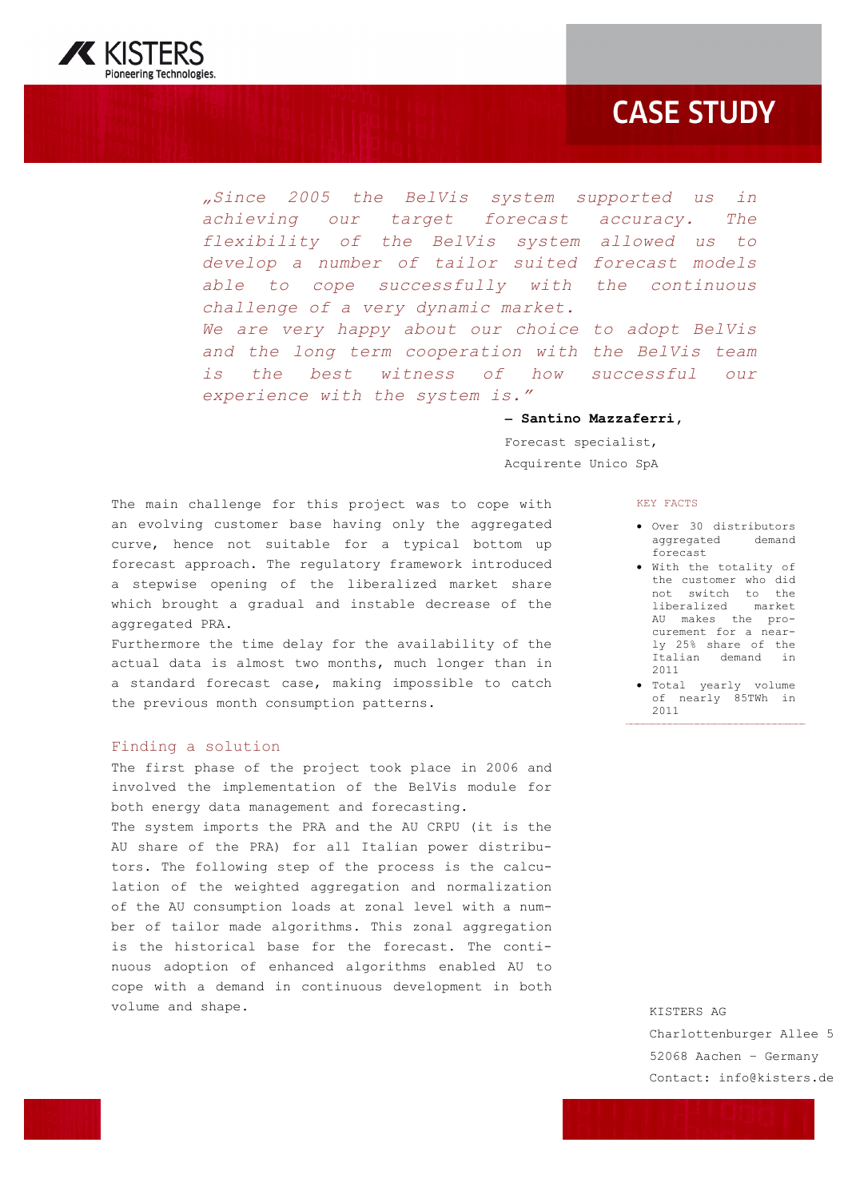

# **CASE STUDY**

*"Since 2005 the BelVis system supported us in achieving our target forecast accuracy. The flexibility of the BelVis system allowed us to develop a number of tailor suited forecast models able to cope successfully with the continuous challenge of a very dynamic market. We are very happy about our choice to adopt BelVis and the long term cooperation with the BelVis team is the best witness of how successful our experience with the system is."* 

### − **Santino Mazzaferri,**

Forecast specialist, Acquirente Unico SpA

The main challenge for this project was to cope with an evolving customer base having only the aggregated curve, hence not suitable for a typical bottom up forecast approach. The regulatory framework introduced a stepwise opening of the liberalized market share which brought a gradual and instable decrease of the aggregated PRA.

Furthermore the time delay for the availability of the actual data is almost two months, much longer than in a standard forecast case, making impossible to catch the previous month consumption patterns.

# Finding a solution

The first phase of the project took place in 2006 and involved the implementation of the BelVis module for both energy data management and forecasting.

The system imports the PRA and the AU CRPU (it is the AU share of the PRA) for all Italian power distributors. The following step of the process is the calculation of the weighted aggregation and normalization of the AU consumption loads at zonal level with a number of tailor made algorithms. This zonal aggregation is the historical base for the forecast. The continuous adoption of enhanced algorithms enabled AU to cope with a demand in continuous development in both volume and shape.

### KEY FACTS

- Over 30 distributors aggregated demand forecast
- With the totality of the customer who did not switch to the<br>liberalized market liberalized AU makes the procurement for a nearly 25% share of the Italian demand in 2011
- Total yearly volume of nearly 85TWh in 2011

### KISTERS AG

Charlottenburger Allee 5 52068 Aachen – Germany Contact: info@kisters.de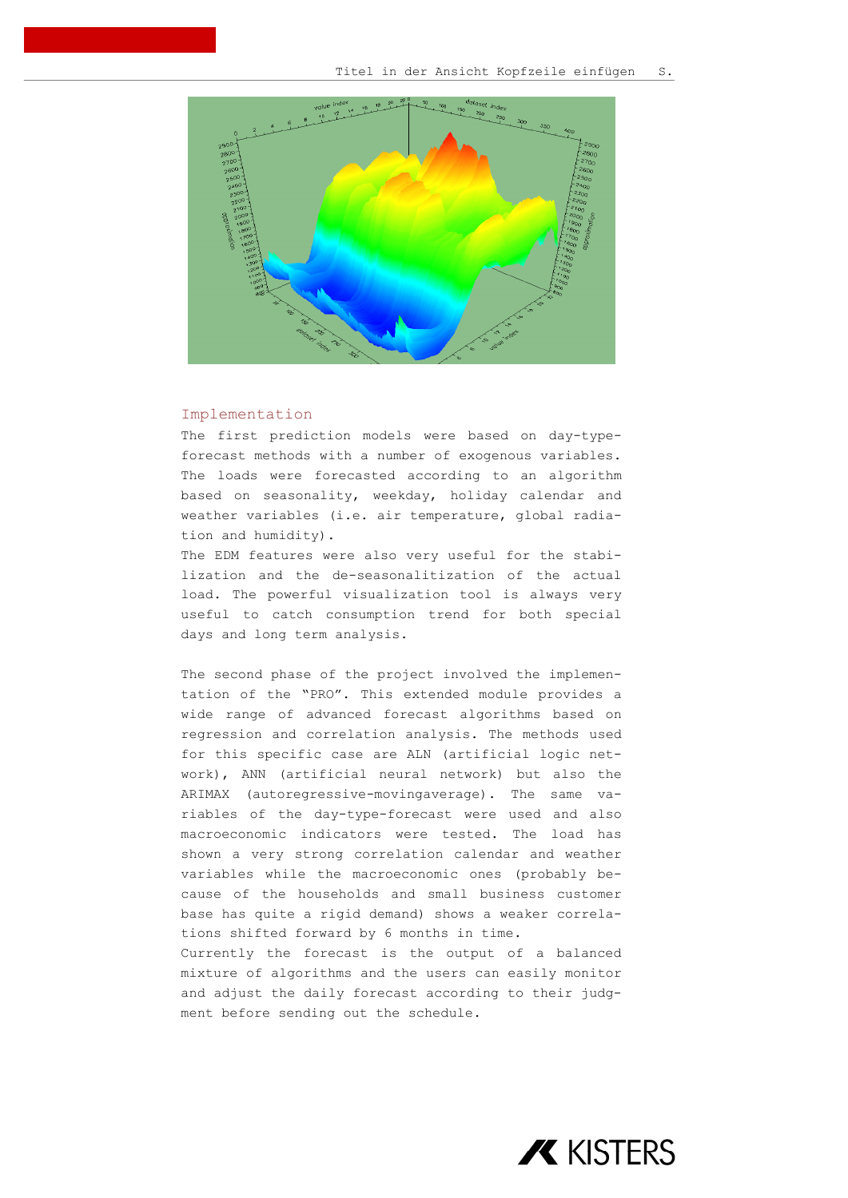

# Implementation

e<br>L

The first prediction models were based on day-typeforecast methods with a number of exogenous variables. The loads were forecasted according to an algorithm based on seasonality, weekday, holiday calendar and weather variables (i.e. air temperature, global radiation and humidity).

The EDM features were also very useful for the stabilization and the de-seasonalitization of the actual load. The powerful visualization tool is always very useful to catch consumption trend for both special days and long term analysis.

The second phase of the project involved the implementation of the "PRO". This extended module provides a wide range of advanced forecast algorithms based on regression and correlation analysis. The methods used for this specific case are ALN (artificial logic network), ANN (artificial neural network) but also the ARIMAX (autoregressive-movingaverage). The same variables of the day-type-forecast were used and also macroeconomic indicators were tested. The load has shown a very strong correlation calendar and weather variables while the macroeconomic ones (probably because of the households and small business customer base has quite a rigid demand) shows a weaker correlations shifted forward by 6 months in time.

Currently the forecast is the output of a balanced mixture of algorithms and the users can easily monitor and adjust the daily forecast according to their judgment before sending out the schedule.